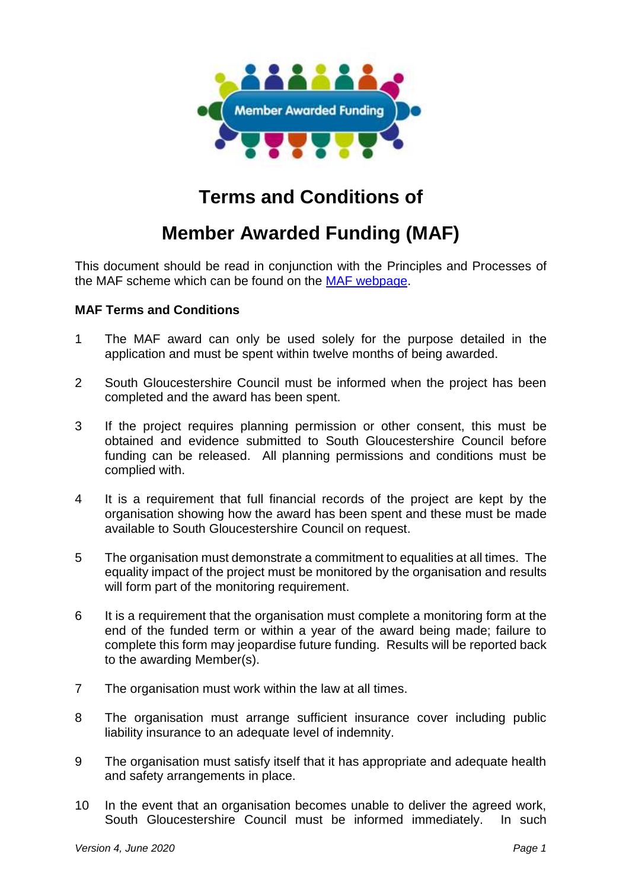

## **Terms and Conditions of**

## **Member Awarded Funding (MAF)**

This document should be read in conjunction with the Principles and Processes of the MAF scheme which can be found on the [MAF webpage.](http://www.southglos.gov.uk/community-and-living/grants/community-grants/member-awarded-funding/)

## **MAF Terms and Conditions**

- 1 The MAF award can only be used solely for the purpose detailed in the application and must be spent within twelve months of being awarded.
- 2 South Gloucestershire Council must be informed when the project has been completed and the award has been spent.
- 3 If the project requires planning permission or other consent, this must be obtained and evidence submitted to South Gloucestershire Council before funding can be released. All planning permissions and conditions must be complied with.
- 4 It is a requirement that full financial records of the project are kept by the organisation showing how the award has been spent and these must be made available to South Gloucestershire Council on request.
- 5 The organisation must demonstrate a commitment to equalities at all times. The equality impact of the project must be monitored by the organisation and results will form part of the monitoring requirement.
- 6 It is a requirement that the organisation must complete a monitoring form at the end of the funded term or within a year of the award being made; failure to complete this form may jeopardise future funding. Results will be reported back to the awarding Member(s).
- 7 The organisation must work within the law at all times.
- 8 The organisation must arrange sufficient insurance cover including public liability insurance to an adequate level of indemnity.
- 9 The organisation must satisfy itself that it has appropriate and adequate health and safety arrangements in place.
- 10 In the event that an organisation becomes unable to deliver the agreed work, South Gloucestershire Council must be informed immediately. In such